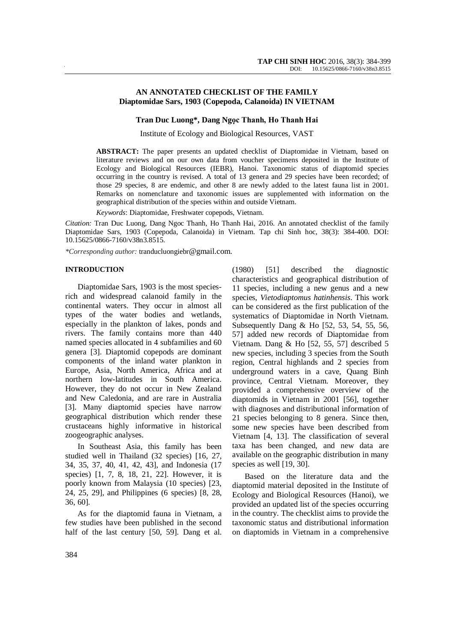## **AN ANNOTATED CHECKLIST OF THE FAMILY Diaptomidae Sars, 1903 (Copepoda, Calanoida) IN VIETNAM**

## **Tran Duc Luong\*, Dang Ngọc Thanh, Ho Thanh Hai**

Institute of Ecology and Biological Resources, VAST

**ABSTRACT:** The paper presents an updated checklist of Diaptomidae in Vietnam, based on literature reviews and on our own data from voucher specimens deposited in the Institute of Ecology and Biological Resources (IEBR), Hanoi. Taxonomic status of diaptomid species occurring in the country is revised. A total of 13 genera and 29 species have been recorded; of those 29 species, 8 are endemic, and other 8 are newly added to the latest fauna list in 2001. Remarks on nomenclature and taxonomic issues are supplemented with information on the geographical distribution of the species within and outside Vietnam.

*Keywords*: Diaptomidae, Freshwater copepods, Vietnam.

*Citation:* Tran Duc Luong, Dang Ngoc Thanh, Ho Thanh Hai, 2016. An annotated checklist of the family Diaptomidae Sars, 1903 (Copepoda, Calanoida) in Vietnam. Tap chi Sinh hoc, 38(3): 384-400. DOI: 10.15625/0866-7160/v38n3.8515.

*\*Corresponding author:* tranducluongiebr@gmail.com.

#### **INTRODUCTION**

Diaptomidae Sars, 1903 is the most speciesrich and widespread calanoid family in the continental waters. They occur in almost all types of the water bodies and wetlands, especially in the plankton of lakes, ponds and rivers. The family contains more than 440 named species allocated in 4 subfamilies and 60 genera [3]. Diaptomid copepods are dominant components of the inland water plankton in Europe, Asia, North America, Africa and at northern low-latitudes in South America. However, they do not occur in New Zealand and New Caledonia, and are rare in Australia [3]. Many diaptomid species have narrow geographical distribution which render these crustaceans highly informative in historical zoogeographic analyses.

In Southeast Asia, this family has been studied well in Thailand (32 species) [16, 27, 34, 35, 37, 40, 41, 42, 43], and Indonesia (17 species) [1, 7, 8, 18, 21, 22]. However, it is poorly known from Malaysia (10 species) [23, 24, 25, 29], and Philippines (6 species) [8, 28, 36, 60].

As for the diaptomid fauna in Vietnam, a few studies have been published in the second half of the last century [50, 59]. Dang et al. (1980) [51] described the diagnostic characteristics and geographical distribution of 11 species, including a new genus and a new species, *Vietodiaptomus hatinhensis*. This work can be considered as the first publication of the systematics of Diaptomidae in North Vietnam. Subsequently Dang & Ho [52, 53, 54, 55, 56, 57] added new records of Diaptomidae from Vietnam. Dang & Ho [52, 55, 57] described 5 new species, including 3 species from the South region, Central highlands and 2 species from underground waters in a cave, Quang Binh province, Central Vietnam. Moreover, they provided a comprehensive overview of the diaptomids in Vietnam in 2001 [56], together with diagnoses and distributional information of 21 species belonging to 8 genera. Since then, some new species have been described from Vietnam [4, 13]. The classification of several taxa has been changed, and new data are available on the geographic distribution in many species as well [19, 30].

Based on the literature data and the diaptomid material deposited in the Institute of Ecology and Biological Resources (Hanoi), we provided an updated list of the species occurring in the country. The checklist aims to provide the taxonomic status and distributional information on diaptomids in Vietnam in a comprehensive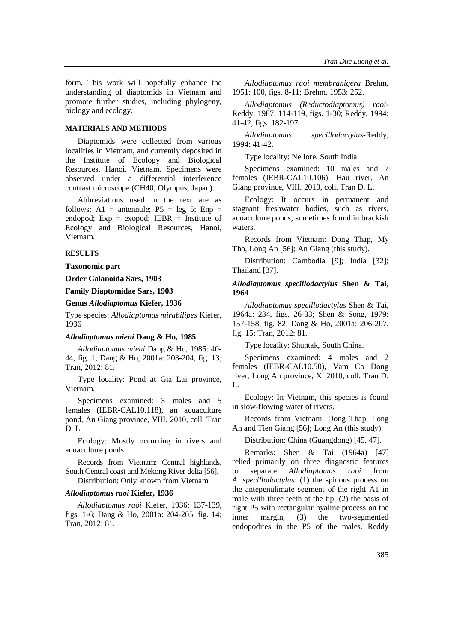form. This work will hopefully enhance the understanding of diaptomids in Vietnam and promote further studies, including phylogeny, biology and ecology.

## **MATERIALS AND METHODS**

Diaptomids were collected from various localities in Vietnam, and currently deposited in the Institute of Ecology and Biological Resources, Hanoi, Vietnam. Specimens were observed under a differential interference contrast microscope (CH40, Olympus, Japan).

Abbreviations used in the text are as follows: A1 = antennule;  $P5 = leg 5$ ; Enp = endopod; Exp = exopod; IEBR = Institute of Ecology and Biological Resources, Hanoi, Vietnam.

## **RESULTS**

**Taxonomic part**

# **Order Calanoida Sars, 1903**

**Family Diaptomidae Sars, 1903**

#### **Genus** *Allodiaptomus* **Kiefer, 1936**

Type species: *Allodiaptomus mirabilipes* Kiefer, 1936

### *Allodiaptomus mieni* **Dang & Ho, 1985**

*Allodiaptomus mieni* Dang & Ho, 1985: 40- 44, fig. 1; Dang & Ho, 2001a: 203-204, fig. 13; Tran, 2012: 81.

Type locality: Pond at Gia Lai province, Vietnam.

Specimens examined: 3 males and 5 females (IEBR-CAL10.118), an aquaculture pond, An Giang province, VIII. 2010, coll. Tran D. L.

Ecology: Mostly occurring in rivers and aquaculture ponds.

Records from Vietnam: Central highlands, South Central coast and Mekong River delta [56].

Distribution: Only known from Vietnam.

#### *Allodiaptomus raoi* **Kiefer, 1936**

*Allodiaptomus raoi* Kiefer, 1936: 137-139, figs. 1-6; Dang & Ho, 2001a: 204-205, fig. 14; Tran, 2012: 81.

*Allodiaptomus raoi membranigera* Brehm, 1951: 100, figs. 8-11; Brehm, 1953: 252.

*Allodiaptomus (Reductodiaptomus) raoi*-Reddy, 1987: 114-119, figs. 1-30; Reddy, 1994: 41-42, figs. 182-197.

*Allodiaptomus specillodactylus*-Reddy, 1994: 41-42.

Type locality: Nellore, South India.

Specimens examined: 10 males and 7 females (IEBR-CAL10.106), Hau river, An Giang province, VIII. 2010, coll. Tran D. L.

Ecology: It occurs in permanent and stagnant freshwater bodies, such as rivers, aquaculture ponds; sometimes found in brackish waters.

Records from Vietnam: Dong Thap, My Tho, Long An [56]; An Giang (this study).

Distribution: Cambodia [9]; India [32]; Thailand [37].

## *Allodiaptomus specillodactylus* **Shen & Tai, 1964**

*Allodiaptomus specillodactylus* Shen & Tai, 1964a: 234, figs. 26-33; Shen & Song, 1979: 157-158, fig. 82; Dang & Ho, 2001a: 206-207, fig. 15; Tran, 2012: 81.

Type locality: Shuntak, South China.

Specimens examined: 4 males and 2 females (IEBR-CAL10.50), Vam Co Dong river, Long An province, X. 2010, coll. Tran D. L.

Ecology: In Vietnam, this species is found in slow-flowing water of rivers.

Records from Vietnam: Dong Thap, Long An and Tien Giang [56]; Long An (this study).

Distribution: China (Guangdong) [45, 47].

Remarks: Shen & Tai (1964a) [47] relied primarily on three diagnostic features to separate *Allodiaptomus raoi* from *A. specillodactylus*: (1) the spinous process on the antepenulimate segment of the right A1 in male with three teeth at the tip, (2) the basis of right P5 with rectangular hyaline process on the inner margin, (3) the two-segmented endopodites in the P5 of the males. Reddy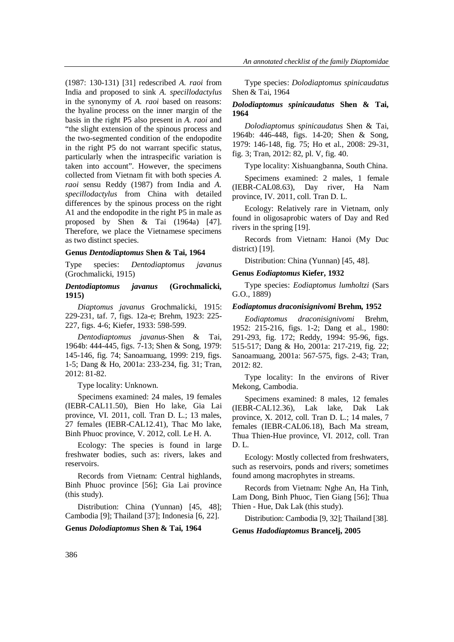(1987: 130-131) [31] redescribed *A. raoi* from India and proposed to sink *A. specillodactylus* in the synonymy of *A. raoi* based on reasons: the hyaline process on the inner margin of the basis in the right P5 also present in *A. raoi* and "the slight extension of the spinous process and the two-segmented condition of the endopodite in the right P5 do not warrant specific status, particularly when the intraspecific variation is taken into account". However, the specimens collected from Vietnam fit with both species *A. raoi* sensu Reddy (1987) from India and *A. specillodactylus* from China with detailed differences by the spinous process on the right A1 and the endopodite in the right P5 in male as proposed by Shen & Tai (1964a) [47]. Therefore, we place the Vietnamese specimens

#### **Genus** *Dentodiaptomus* **Shen & Tai, 1964**

as two distinct species.

Type species: *Dentodiaptomus javanus* (Grochmalicki, 1915)

## *Dentodiaptomus javanus* **(Grochmalicki, 1915)**

*Diaptomus javanus* Grochmalicki, 1915: 229-231, taf. 7, figs. 12a-e; Brehm, 1923: 225- 227, figs. 4-6; Kiefer, 1933: 598-599.

*Dentodiaptomus javanus*-Shen & Tai, 1964b: 444-445, figs. 7-13; Shen & Song, 1979: 145-146, fig. 74; Sanoamuang, 1999: 219, figs. 1-5; Dang & Ho, 2001a: 233-234, fig. 31; Tran, 2012: 81-82.

Type locality: Unknown.

Specimens examined: 24 males, 19 females (IEBR-CAL11.50), Bien Ho lake, Gia Lai province, VI. 2011, coll. Tran D. L.; 13 males, 27 females (IEBR-CAL12.41), Thac Mo lake, Binh Phuoc province, V. 2012, coll. Le H. A.

Ecology: The species is found in large freshwater bodies, such as: rivers, lakes and reservoirs.

Records from Vietnam: Central highlands, Binh Phuoc province [56]; Gia Lai province (this study).

Distribution: China (Yunnan) [45, 48]; Cambodia [9]; Thailand [37]; Indonesia [6, 22].

### **Genus** *Dolodiaptomus* **Shen & Tai, 1964**

Type species: *Dolodiaptomus spinicaudatus* Shen & Tai, 1964

## *Dolodiaptomus spinicaudatus* **Shen & Tai, 1964**

*Dolodiaptomus spinicaudatus* Shen & Tai, 1964b: 446-448, figs. 14-20; Shen & Song, 1979: 146-148, fig. 75; Ho et al., 2008: 29-31, fig. 3; Tran, 2012: 82, pl. V, fig. 40.

Type locality: Xishuangbanna, South China.

Specimens examined: 2 males, 1 female (IEBR-CAL08.63), Day river, Ha Nam province, IV. 2011, coll. Tran D. L.

Ecology: Relatively rare in Vietnam, only found in oligosaprobic waters of Day and Red rivers in the spring [19].

Records from Vietnam: Hanoi (My Duc district) [19].

Distribution: China (Yunnan) [45, 48].

#### **Genus** *Eodiaptomus* **Kiefer, 1932**

Type species: *Eodiaptomus lumholtzi* (Sars G.O., 1889)

### *Eodiaptomus draconisignivomi* **Brehm, 1952**

*Eodiaptomus draconisignivomi* Brehm, 1952: 215-216, figs. 1-2; Dang et al., 1980: 291-293, fig. 172; Reddy, 1994: 95-96, figs. 515-517; Dang & Ho, 2001a: 217-219, fig. 22; Sanoamuang, 2001a: 567-575, figs. 2-43; Tran, 2012: 82.

Type locality: In the environs of River Mekong, Cambodia.

Specimens examined: 8 males, 12 females (IEBR-CAL12.36), Lak lake, Dak Lak province, X. 2012, coll. Tran D. L.; 14 males, 7 females (IEBR-CAL06.18), Bach Ma stream, Thua Thien-Hue province, VI. 2012, coll. Tran D. L.

Ecology: Mostly collected from freshwaters, such as reservoirs, ponds and rivers; sometimes found among macrophytes in streams.

Records from Vietnam: Nghe An, Ha Tinh, Lam Dong, Binh Phuoc, Tien Giang [56]; Thua Thien - Hue, Dak Lak (this study).

Distribution: Cambodia [9, 32]; Thailand [38].

**Genus** *Hadodiaptomus* **Brancelj, 2005**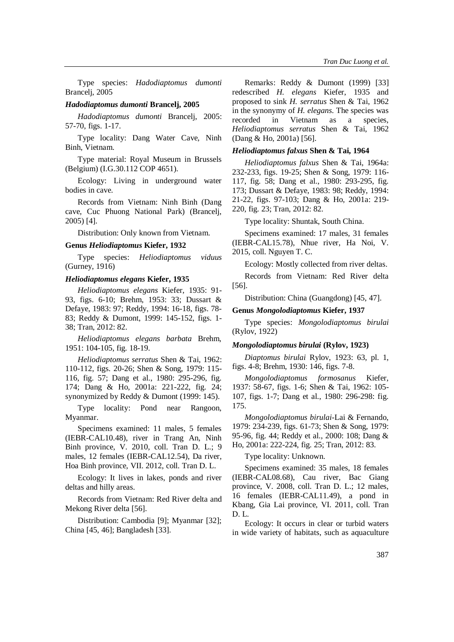Type species: *Hadodiaptomus dumonti*  Brancelj, 2005

## *Hadodiaptomus dumonti* **Brancelj, 2005**

*Hadodiaptomus dumonti* Brancelj, 2005: 57-70, figs. 1-17.

Type locality: Dang Water Cave, Ninh Binh, Vietnam.

Type material: Royal Museum in Brussels (Belgium) (I.G.30.112 COP 4651).

Ecology: Living in underground water bodies in cave.

Records from Vietnam: Ninh Binh (Dang cave, Cuc Phuong National Park) (Brancelj, 2005) [4].

Distribution: Only known from Vietnam.

#### **Genus** *Heliodiaptomus* **Kiefer, 1932**

Type species: *Heliodiaptomus viduus* (Gurney, 1916)

## *Heliodiaptomus elegans* **Kiefer, 1935**

*Heliodiaptomus elegans* Kiefer, 1935: 91- 93, figs. 6-10; Brehm, 1953: 33; Dussart & Defaye, 1983: 97; Reddy, 1994: 16-18, figs. 78- 83; Reddy & Dumont, 1999: 145-152, figs. 1- 38; Tran, 2012: 82.

*Heliodiaptomus elegans barbata* Brehm, 1951: 104-105, fig. 18-19.

*Heliodiaptomus serratus* Shen & Tai, 1962: 110-112, figs. 20-26; Shen & Song, 1979: 115- 116, fig. 57; Dang et al., 1980: 295-296, fig. 174; Dang & Ho, 2001a: 221-222, fig. 24; synonymized by Reddy & Dumont (1999: 145).

Type locality: Pond near Rangoon, Myanmar.

Specimens examined: 11 males, 5 females (IEBR-CAL10.48), river in Trang An, Ninh Binh province, V. 2010, coll. Tran D. L.; 9 males, 12 females (IEBR-CAL12.54), Da river, Hoa Binh province, VII. 2012, coll. Tran D. L.

Ecology: It lives in lakes, ponds and river deltas and hilly areas.

Records from Vietnam: Red River delta and Mekong River delta [56].

Distribution: Cambodia [9]; Myanmar [32]; China [45, 46]; Bangladesh [33].

Remarks: Reddy & Dumont (1999) [33] redescribed *H. elegans* Kiefer, 1935 and proposed to sink *H. serratus* Shen & Tai, 1962 in the synonymy of *H. elegans*. The species was recorded in Vietnam as a species, *Heliodiaptomus serratus* Shen & Tai, 1962 (Dang & Ho, 2001a) [56].

## *Heliodiaptomus falxus* **Shen & Tai, 1964**

*Heliodiaptomus falxus* Shen & Tai, 1964a: 232-233, figs. 19-25; Shen & Song, 1979: 116- 117, fig. 58; Dang et al., 1980: 293-295, fig. 173; Dussart & Defaye, 1983: 98; Reddy, 1994: 21-22, figs. 97-103; Dang & Ho, 2001a: 219- 220, fig. 23; Tran, 2012: 82.

Type locality: Shuntak, South China.

Specimens examined: 17 males, 31 females (IEBR-CAL15.78), Nhue river, Ha Noi, V. 2015, coll. Nguyen T. C.

Ecology: Mostly collected from river deltas.

Records from Vietnam: Red River delta [56].

Distribution: China (Guangdong) [45, 47].

#### **Genus** *Mongolodiaptomus* **Kiefer, 1937**

Type species: *Mongolodiaptomus birulai* (Rylov, 1922)

#### *Mongolodiaptomus birulai* **(Rylov, 1923)**

*Diaptomus birulai* Rylov, 1923: 63, pl. 1, figs. 4-8; Brehm, 1930: 146, figs. 7-8.

*Mongolodiaptomus formosanus* Kiefer, 1937: 58-67, figs. 1-6; Shen & Tai, 1962: 105- 107, figs. 1-7; Dang et al., 1980: 296-298: fig. 175.

*Mongolodiaptomus birulai-*Lai & Fernando, 1979: 234-239, figs. 61-73; Shen & Song, 1979: 95-96, fig. 44; Reddy et al., 2000: 108; Dang & Ho, 2001a: 222-224, fig. 25; Tran, 2012: 83.

Type locality: Unknown.

Specimens examined: 35 males, 18 females (IEBR-CAL08.68), Cau river, Bac Giang province, V. 2008, coll. Tran D. L.; 12 males, 16 females (IEBR-CAL11.49), a pond in Kbang, Gia Lai province, VI. 2011, coll. Tran D. L.

Ecology: It occurs in clear or turbid waters in wide variety of habitats, such as aquaculture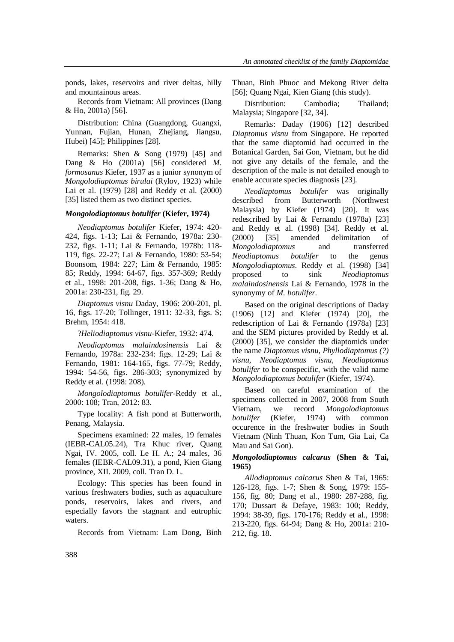ponds, lakes, reservoirs and river deltas, hilly and mountainous areas.

Records from Vietnam: All provinces (Dang & Ho, 2001a) [56].

Distribution: China (Guangdong, Guangxi, Yunnan, Fujian, Hunan, Zhejiang, Jiangsu, Hubei) [45]; Philippines [28].

Remarks: Shen & Song (1979) [45] and Dang & Ho (2001a) [56] considered *M. formosanus* Kiefer, 1937 as a junior synonym of *Mongolodiaptomus birulai* (Rylov, 1923) while Lai et al. (1979) [28] and Reddy et al. (2000) [35] listed them as two distinct species.

#### *Mongolodiaptomus botulifer* **(Kiefer, 1974)**

*Neodiaptomus botulifer* Kiefer, 1974: 420- 424, figs. 1-13; Lai & Fernando, 1978a: 230- 232, figs. 1-11; Lai & Fernando, 1978b: 118- 119, figs. 22-27; Lai & Fernando, 1980: 53-54; Boonsom, 1984: 227; Lim & Fernando, 1985: 85; Reddy, 1994: 64-67, figs. 357-369; Reddy et al., 1998: 201-208, figs. 1-36; Dang & Ho, 2001a: 230-231, fig. 29.

*Diaptomus visnu* Daday, 1906: 200-201, pl. 16, figs. 17-20; Tollinger, 1911: 32-33, figs. S; Brehm, 1954: 418.

?*Heliodiaptomus visnu*-Kiefer, 1932: 474.

*Neodiaptomus malaindosinensis* Lai & Fernando, 1978a: 232-234: figs. 12-29; Lai & Fernando, 1981: 164-165, figs. 77-79; Reddy, 1994: 54-56, figs. 286-303; synonymized by Reddy et al. (1998: 208).

*Mongolodiaptomus botulifer*-Reddy et al., 2000: 108; Tran, 2012: 83.

Type locality: A fish pond at Butterworth, Penang, Malaysia.

Specimens examined: 22 males, 19 females (IEBR-CAL05.24), Tra Khuc river, Quang Ngai, IV. 2005, coll. Le H. A.; 24 males, 36 females (IEBR-CAL09.31), a pond, Kien Giang province, XII. 2009, coll. Tran D. L.

Ecology: This species has been found in various freshwaters bodies, such as aquaculture ponds, reservoirs, lakes and rivers, and especially favors the stagnant and eutrophic waters.

Records from Vietnam: Lam Dong, Binh

Thuan, Binh Phuoc and Mekong River delta [56]; Quang Ngai, Kien Giang (this study).

Distribution: Cambodia; Thailand; Malaysia; Singapore [32, 34].

Remarks: Daday (1906) [12] described *Diaptomus visnu* from Singapore. He reported that the same diaptomid had occurred in the Botanical Garden, Sai Gon, Vietnam, but he did not give any details of the female, and the description of the male is not detailed enough to enable accurate species diagnosis [23].

*Neodiaptomus botulifer* was originally described from Butterworth (Northwest Malaysia) by Kiefer (1974) [20]. It was redescribed by Lai & Fernando (1978a) [23] and Reddy et al. (1998) [34]. Reddy et al. (2000) [35] amended delimitation of *Mongolodiaptomus* and transferred *Neodiaptomus botulifer* to the genus *Mongolodiaptomus*. Reddy et al. (1998) [34] proposed to sink *Neodiaptomus malaindosinensis* Lai & Fernando, 1978 in the synonymy of *M. botulifer*.

Based on the original descriptions of Daday (1906) [12] and Kiefer (1974) [20], the redescription of Lai & Fernando (1978a) [23] and the SEM pictures provided by Reddy et al. (2000) [35], we consider the diaptomids under the name *Diaptomus visnu, Phyllodiaptomus (?) visnu, Neodiaptomus visnu, Neodiaptomus botulifer* to be conspecific, with the valid name *Mongolodiaptomus botulifer* (Kiefer, 1974).

Based on careful examination of the specimens collected in 2007, 2008 from South Vietnam, we record *Mongolodiaptomus botulifer* (Kiefer, 1974) with common occurence in the freshwater bodies in South Vietnam (Ninh Thuan, Kon Tum, Gia Lai, Ca Mau and Sai Gon).

## *Mongolodiaptomus calcarus* **(Shen & Tai, 1965)**

*Allodiaptomus calcarus* Shen & Tai, 1965: 126-128, figs. 1-7; Shen & Song, 1979: 155- 156, fig. 80; Dang et al., 1980: 287-288, fig. 170; Dussart & Defaye, 1983: 100; Reddy, 1994: 38-39, figs. 170-176; Reddy et al., 1998: 213-220, figs. 64-94; Dang & Ho, 2001a: 210- 212, fig. 18.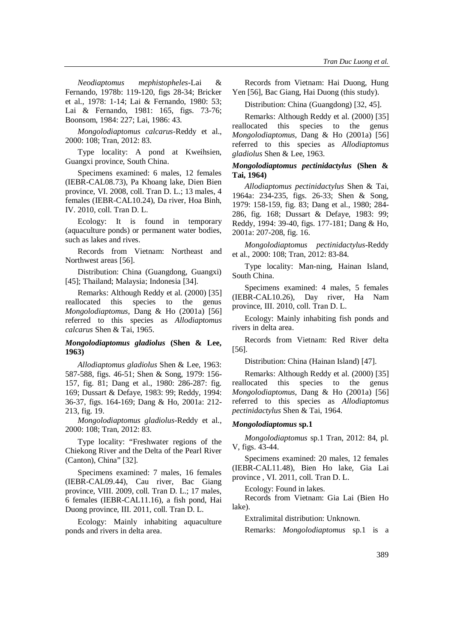*Neodiaptomus mephistopheles*-Lai & Fernando, 1978b: 119-120, figs 28-34; Bricker et al., 1978: 1-14; Lai & Fernando, 1980: 53; Lai & Fernando, 1981: 165, figs. 73-76; Boonsom, 1984: 227; Lai, 1986: 43.

*Mongolodiaptomus calcarus-*Reddy et al., 2000: 108; Tran, 2012: 83.

Type locality: A pond at Kweihsien, Guangxi province, South China.

Specimens examined: 6 males, 12 females (IEBR-CAL08.73), Pa Khoang lake, Dien Bien province, VI. 2008, coll. Tran D. L.; 13 males, 4 females (IEBR-CAL10.24), Da river, Hoa Binh, IV. 2010, coll. Tran D. L.

Ecology: It is found in temporary (aquaculture ponds) or permanent water bodies, such as lakes and rives.

Records from Vietnam: Northeast and Northwest areas [56].

Distribution: China (Guangdong, Guangxi) [45]; Thailand; Malaysia; Indonesia [34].

Remarks: Although Reddy et al. (2000) [35] reallocated this species to the genus *Mongolodiaptomus*, Dang & Ho (2001a) [56] referred to this species as *Allodiaptomus calcarus* Shen & Tai, 1965.

## *Mongolodiaptomus gladiolus* **(Shen & Lee, 1963)**

*Allodiaptomus gladiolus* Shen & Lee, 1963: 587-588, figs. 46-51; Shen & Song, 1979: 156- 157, fig. 81; Dang et al., 1980: 286-287: fig. 169; Dussart & Defaye, 1983: 99; Reddy, 1994: 36-37, figs. 164-169; Dang & Ho, 2001a: 212- 213, fig. 19.

*Mongolodiaptomus gladiolus-*Reddy et al., 2000: 108; Tran, 2012: 83.

Type locality: "Freshwater regions of the Chiekong River and the Delta of the Pearl River (Canton), China" [32].

Specimens examined: 7 males, 16 females (IEBR-CAL09.44), Cau river, Bac Giang province, VIII. 2009, coll. Tran D. L.; 17 males, 6 females (IEBR-CAL11.16), a fish pond, Hai Duong province, III. 2011, coll. Tran D. L.

Ecology: Mainly inhabiting aquaculture ponds and rivers in delta area.

Records from Vietnam: Hai Duong, Hung Yen [56], Bac Giang, Hai Duong (this study).

Distribution: China (Guangdong) [32, 45].

Remarks: Although Reddy et al. (2000) [35] reallocated this species to the genus *Mongolodiaptomus*, Dang & Ho (2001a) [56] referred to this species as *Allodiaptomus gladiolus* Shen & Lee, 1963.

## *Mongolodiaptomus pectinidactylus* **(Shen & Tai, 1964)**

*Allodiaptomus pectinidactylus* Shen & Tai, 1964a: 234-235, figs. 26-33; Shen & Song, 1979: 158-159, fig. 83; Dang et al., 1980; 284- 286, fig. 168; Dussart & Defaye, 1983: 99; Reddy, 1994: 39-40, figs. 177-181; Dang & Ho, 2001a: 207-208, fig. 16.

*Mongolodiaptomus pectinidactylus-*Reddy et al., 2000: 108; Tran, 2012: 83-84.

Type locality: Man-ning, Hainan Island, South China.

Specimens examined: 4 males, 5 females (IEBR-CAL10.26), Day river, Ha Nam province, III. 2010, coll. Tran D. L.

Ecology: Mainly inhabiting fish ponds and rivers in delta area.

Records from Vietnam: Red River delta [56].

Distribution: China (Hainan Island) [47].

Remarks: Although Reddy et al. (2000) [35] reallocated this species to the genus *Mongolodiaptomus*, Dang & Ho (2001a) [56] referred to this species as *Allodiaptomus pectinidactylus* Shen & Tai, 1964.

### *Mongolodiaptomus* **sp.1**

*Mongolodiaptomus* sp.1 Tran, 2012: 84, pl. V, figs. 43-44.

Specimens examined: 20 males, 12 females (IEBR-CAL11.48), Bien Ho lake, Gia Lai province , VI. 2011, coll. Tran D. L.

Ecology: Found in lakes.

Records from Vietnam: Gia Lai (Bien Ho lake).

Extralimital distribution: Unknown.

Remarks: *Mongolodiaptomus* sp.1 is a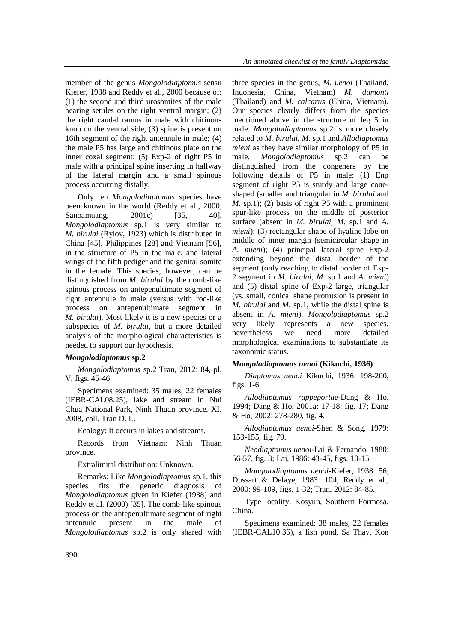member of the genus *Mongolodiaptomus* sensu Kiefer, 1938 and Reddy et al., 2000 because of: (1) the second and third urosomites of the male bearing setules on the right ventral margin; (2) the right caudal ramus in male with chitinous knob on the ventral side; (3) spine is present on 16th segment of the right antennule in male; (4) the male P5 has large and chitinous plate on the inner coxal segment; (5) Exp-2 of right P5 in male with a principal spine inserting in halfway of the lateral margin and a small spinous process occurring distally.

Only ten *Mongolodiaptomus* species have been known in the world (Reddy et al., 2000; Sanoamuang, 2001c) [35, 40]. *Mongolodiaptomus* sp.1 is very similar to *M. birulai* (Rylov, 1923) which is distributed in China [45], Philippines [28] and Vietnam [56], in the structure of P5 in the male, and lateral wings of the fifth pediger and the genital somite in the female. This species, however, can be distinguished from *M. birulai* by the comb-like spinous process on antepenultimate segment of right antennule in male (versus with rod-like process on antepenultimate segment in *M. birulai*). Most likely it is a new species or a subspecies of *M. birulai*, but a more detailed analysis of the morphological characteristics is needed to support our hypothesis.

## *Mongolodiaptomus* **sp.2**

*Mongolodiaptomus* sp.2 Tran, 2012: 84, pl. V, figs. 45-46.

Specimens examined: 35 males, 22 females (IEBR-CAL08.25), lake and stream in Nui Chua National Park, Ninh Thuan province, XI. 2008, coll. Tran D. L.

Ecology: It occurs in lakes and streams.

Records from Vietnam: Ninh Thuan province.

Extralimital distribution: Unknown.

Remarks: Like *Mongolodiaptomus* sp.1, this species fits the generic diagnosis of *Mongolodiaptomus* given in Kiefer (1938) and Reddy et al. (2000) [35]. The comb-like spinous process on the antepenultimate segment of right antennule present in the male of *Mongolodiaptomus* sp.2 is only shared with three species in the genus, *M. uenoi* (Thailand, Indonesia, China, Vietnam) *M. dumonti* (Thailand) and *M. calcarus* (China, Vietnam). Our species clearly differs from the species mentioned above in the structure of leg 5 in male. *Mongolodiaptomus* sp.2 is more closely related to *M. birulai*, *M*. sp.1 and *Allodiaptomus mieni* as they have similar morphology of P5 in male. *Mongolodiaptomus* sp.2 can be distinguished from the congeners by the following details of P5 in male: (1) Enp segment of right P5 is sturdy and large coneshaped (smaller and triangular in *M. birulai* and *M*. sp.1); (2) basis of right P5 with a prominent spur-like process on the middle of posterior surface (absent in *M. birulai*, *M*. sp.1 and *A. mieni*); (3) rectangular shape of hyaline lobe on middle of inner margin (semicircular shape in *A. mieni*); (4) principal lateral spine Exp-2 extending beyond the distal border of the segment (only reaching to distal border of Exp-2 segment in *M. birulai*, *M*. sp.1 and *A. mieni*) and (5) distal spine of Exp-2 large, triangular (vs. small, conical shape protrusion is present in *M. birulai* and *M*. sp.1, while the distal spine is absent in *A. mieni*). *Mongolodiaptomus* sp.2 very likely represents a new species, nevertheless we need more detailed morphological examinations to substantiate its taxonomic status.

## *Mongolodiaptomus uenoi* **(Kikuchi, 1936)**

*Diaptomus uenoi* Kikuchi, 1936: 198-200, figs. 1-6.

*Allodiaptomus rappeportae-*Dang & Ho, 1994; Dang & Ho, 2001a: 17-18: fig. 17; Dang & Ho, 2002: 278-280, fig. 4.

*Allodiaptomus uenoi-*Shen & Song, 1979: 153-155, fig. 79.

*Neodiaptomus uenoi-*Lai & Fernando, 1980: 56-57, fig. 3; Lai, 1986: 43-45, figs. 10-15.

*Mongolodiaptomus uenoi-*Kiefer, 1938: 56; Dussart & Defaye, 1983: 104; Reddy et al., 2000: 99-109, figs. 1-32; Tran, 2012: 84-85.

Type locality: Kosyun, Southern Formosa, China.

Specimens examined: 38 males, 22 females (IEBR-CAL10.36), a fish pond, Sa Thay, Kon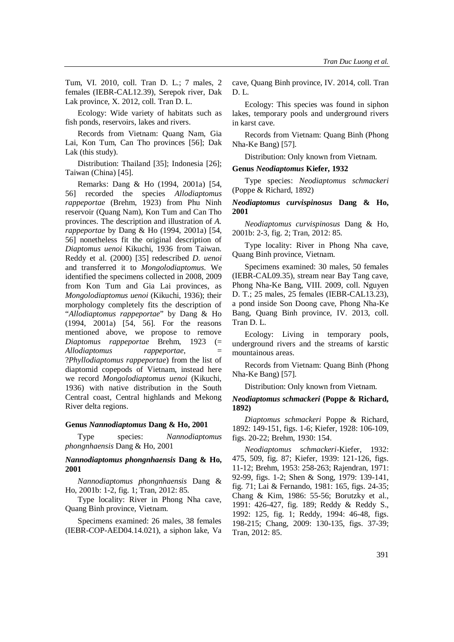Tum, VI. 2010, coll. Tran D. L.; 7 males, 2 females (IEBR-CAL12.39), Serepok river, Dak Lak province, X. 2012, coll. Tran D. L.

Ecology: Wide variety of habitats such as fish ponds, reservoirs, lakes and rivers.

Records from Vietnam: Quang Nam, Gia Lai, Kon Tum, Can Tho provinces [56]; Dak Lak (this study).

Distribution: Thailand [35]; Indonesia [26]; Taiwan (China) [45].

Remarks: Dang & Ho (1994, 2001a) [54, 56] recorded the species *Allodiaptomus rappeportae* (Brehm, 1923) from Phu Ninh reservoir (Quang Nam), Kon Tum and Can Tho provinces. The description and illustration of *A. rappeportae* by Dang & Ho (1994, 2001a) [54, 56] nonetheless fit the original description of *Diaptomus uenoi* Kikuchi, 1936 from Taiwan. Reddy et al. (2000) [35] redescribed *D. uenoi* and transferred it to *Mongolodiaptomus*. We identified the specimens collected in 2008, 2009 from Kon Tum and Gia Lai provinces, as *Mongolodiaptomus uenoi* (Kikuchi, 1936); their morphology completely fits the description of "*Allodiaptomus rappeportae*" by Dang & Ho (1994, 2001a) [54, 56]. For the reasons mentioned above, we propose to remove *Diaptomus rappeportae* Brehm, 1923 (= *Allodiaptomus rappeportae*, = ?*Phyllodiaptomus rappeportae*) from the list of diaptomid copepods of Vietnam, instead here we record *Mongolodiaptomus uenoi* (Kikuchi, 1936) with native distribution in the South Central coast, Central highlands and Mekong River delta regions.

#### **Genus** *Nannodiaptomus* **Dang & Ho, 2001**

Type species: *Nannodiaptomus phongnhaensis* Dang & Ho, 2001

## *Nannodiaptomus phongnhaensis* **Dang & Ho, 2001**

*Nannodiaptomus phongnhaensis* Dang & Ho, 2001b: 1-2, fig. 1; Tran, 2012: 85.

Type locality: River in Phong Nha cave, Quang Binh province, Vietnam.

Specimens examined: 26 males, 38 females (IEBR-COP-AED04.14.021), a siphon lake, Va cave, Quang Binh province, IV. 2014, coll. Tran D. L.

Ecology: This species was found in siphon lakes, temporary pools and underground rivers in karst cave.

Records from Vietnam: Quang Binh (Phong Nha-Ke Bang) [57].

Distribution: Only known from Vietnam.

#### **Genus** *Neodiaptomus* **Kiefer, 1932**

Type species: *Neodiaptomus schmackeri* (Poppe & Richard, 1892)

### *Neodiaptomus curvispinosus* **Dang & Ho, 2001**

*Neodiaptomus curvispinosus* Dang & Ho, 2001b: 2-3, fig. 2; Tran, 2012: 85.

Type locality: River in Phong Nha cave, Quang Binh province, Vietnam.

Specimens examined: 30 males, 50 females (IEBR-CAL09.35), stream near Bay Tang cave, Phong Nha-Ke Bang, VIII. 2009, coll. Nguyen D. T.; 25 males, 25 females (IEBR-CAL13.23), a pond inside Son Doong cave, Phong Nha-Ke Bang, Quang Binh province, IV. 2013, coll. Tran D. L.

Ecology: Living in temporary pools, underground rivers and the streams of karstic mountainous areas.

Records from Vietnam: Quang Binh (Phong Nha-Ke Bang) [57].

Distribution: Only known from Vietnam.

#### *Neodiaptomus schmackeri* **(Poppe & Richard, 1892)**

*Diaptomus schmackeri* Poppe & Richard, 1892: 149-151, figs. 1-6; Kiefer, 1928: 106-109, figs. 20-22; Brehm, 1930: 154.

*Neodiaptomus schmackeri*-Kiefer, 1932: 475, 509, fig. 87; Kiefer, 1939: 121-126, figs. 11-12; Brehm, 1953: 258-263; Rajendran, 1971: 92-99, figs. 1-2; Shen & Song, 1979: 139-141, fig. 71; Lai & Fernando, 1981: 165, figs. 24-35; Chang & Kim, 1986: 55-56; Borutzky et al., 1991: 426-427, fig. 189; Reddy & Reddy S., 1992: 125, fig. 1; Reddy, 1994: 46-48, figs. 198-215; Chang, 2009: 130-135, figs. 37-39; Tran, 2012: 85.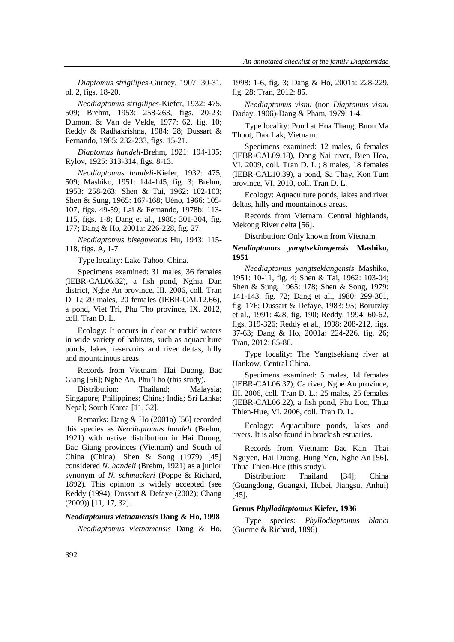*Diaptomus strigilipes*-Gurney, 1907: 30-31, pl. 2, figs. 18-20.

*Neodiaptomus strigilipes*-Kiefer, 1932: 475, 509; Brehm, 1953: 258-263, figs. 20-23; Dumont & Van de Velde, 1977: 62, fig. 10; Reddy & Radhakrishna, 1984: 28; Dussart & Fernando, 1985: 232-233, figs. 15-21.

*Diaptomus handeli*-Brehm, 1921: 194-195; Rylov, 1925: 313-314, figs. 8-13.

*Neodiaptomus handeli*-Kiefer, 1932: 475, 509; Mashiko, 1951: 144-145, fig. 3; Brehm, 1953: 258-263; Shen & Tai, 1962: 102-103; Shen & Sung, 1965: 167-168; Uéno, 1966: 105- 107, figs. 49-59; Lai & Fernando, 1978b: 113- 115, figs. 1-8; Dang et al., 1980; 301-304, fig. 177; Dang & Ho, 2001a: 226-228, fig. 27.

*Neodiaptomus bisegmentus* Hu, 1943: 115- 118, figs. A, 1-7.

Type locality: Lake Tahoo, China.

Specimens examined: 31 males, 36 females (IEBR-CAL06.32), a fish pond, Nghia Dan district, Nghe An province, III. 2006, coll. Tran D. L; 20 males, 20 females (IEBR-CAL12.66), a pond, Viet Tri, Phu Tho province, IX. 2012, coll. Tran D. L.

Ecology: It occurs in clear or turbid waters in wide variety of habitats, such as aquaculture ponds, lakes, reservoirs and river deltas, hilly and mountainous areas.

Records from Vietnam: Hai Duong, Bac Giang [56]; Nghe An, Phu Tho (this study).

Distribution: Thailand; Malaysia; Singapore; Philippines; China; India; Sri Lanka; Nepal; South Korea [11, 32].

Remarks: Dang & Ho (2001a) [56] recorded this species as *Neodiaptomus handeli* (Brehm, 1921) with native distribution in Hai Duong, Bac Giang provinces (Vietnam) and South of China (China). Shen & Song (1979) [45] considered *N. handeli* (Brehm, 1921) as a junior synonym of *N. schmackeri* (Poppe & Richard, 1892). This opinion is widely accepted (see Reddy (1994); Dussart & Defaye (2002); Chang (2009)) [11, 17, 32].

#### *Neodiaptomus vietnamensis* **Dang & Ho, 1998**

*Neodiaptomus vietnamensis* Dang & Ho,

1998: 1-6, fig. 3; Dang & Ho, 2001a: 228-229, fig. 28; Tran, 2012: 85.

*Neodiaptomus visnu* (non *Diaptomus visnu* Daday, 1906)-Dang & Pham, 1979: 1-4.

Type locality: Pond at Hoa Thang, Buon Ma Thuot, Dak Lak, Vietnam.

Specimens examined: 12 males, 6 females (IEBR-CAL09.18), Dong Nai river, Bien Hoa, VI. 2009, coll. Tran D. L.; 8 males, 18 females (IEBR-CAL10.39), a pond, Sa Thay, Kon Tum province, VI. 2010, coll. Tran D. L.

Ecology: Aquaculture ponds, lakes and river deltas, hilly and mountainous areas.

Records from Vietnam: Central highlands, Mekong River delta [56].

Distribution: Only known from Vietnam.

## *Neodiaptomus yangtsekiangensis* **Mashiko, 1951**

*Neodiaptomus yangtsekiangensis* Mashiko, 1951: 10-11, fig. 4; Shen & Tai, 1962: 103-04; Shen & Sung, 1965: 178; Shen & Song, 1979: 141-143, fig. 72; Dang et al., 1980: 299-301, fig. 176; Dussart & Defaye, 1983: 95; Borutzky et al., 1991: 428, fig. 190; Reddy, 1994: 60-62, figs. 319-326; Reddy et al., 1998: 208-212, figs. 37-63; Dang & Ho, 2001a: 224-226, fig. 26; Tran, 2012: 85-86.

Type locality: The Yangtsekiang river at Hankow, Central China.

Specimens examined: 5 males, 14 females (IEBR-CAL06.37), Ca river, Nghe An province, III. 2006, coll. Tran D. L.; 25 males, 25 females (IEBR-CAL06.22), a fish pond, Phu Loc, Thua Thien-Hue, VI. 2006, coll. Tran D. L.

Ecology: Aquaculture ponds, lakes and rivers. It is also found in brackish estuaries.

Records from Vietnam: Bac Kan, Thai Nguyen, Hai Duong, Hung Yen, Nghe An [56], Thua Thien-Hue (this study).

Distribution: Thailand [34]; China (Guangdong, Guangxi, Hubei, Jiangsu, Anhui) [45].

#### **Genus** *Phyllodiaptomus* **Kiefer, 1936**

Type species: *Phyllodiaptomus blanci* (Guerne & Richard, 1896)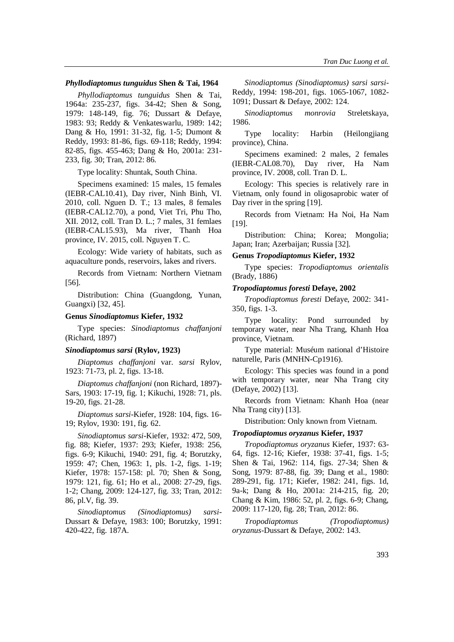#### *Phyllodiaptomus tunguidus* **Shen & Tai, 1964**

*Phyllodiaptomus tunguidus* Shen & Tai, 1964a: 235-237, figs. 34-42; Shen & Song, 1979: 148-149, fig. 76; Dussart & Defaye, 1983: 93; Reddy & Venkateswarlu, 1989: 142; Dang & Ho, 1991: 31-32, fig. 1-5; Dumont & Reddy, 1993: 81-86, figs. 69-118; Reddy, 1994: 82-85, figs. 455-463; Dang & Ho, 2001a: 231- 233, fig. 30; Tran, 2012: 86.

Type locality: Shuntak, South China.

Specimens examined: 15 males, 15 females (IEBR-CAL10.41), Day river, Ninh Binh, VI. 2010, coll. Nguen D. T.; 13 males, 8 females (IEBR-CAL12.70), a pond, Viet Tri, Phu Tho, XII. 2012, coll. Tran D. L.; 7 males, 31 femlaes (IEBR-CAL15.93), Ma river, Thanh Hoa province, IV. 2015, coll. Nguyen T. C.

Ecology: Wide variety of habitats, such as aquaculture ponds, reservoirs, lakes and rivers.

Records from Vietnam: Northern Vietnam [56].

Distribution: China (Guangdong, Yunan, Guangxi) [32, 45].

#### **Genus** *Sinodiaptomus* **Kiefer, 1932**

Type species: *Sinodiaptomus chaffanjoni* (Richard, 1897)

#### *Sinodiaptomus sarsi* **(Rylov, 1923)**

*Diaptomus chaffanjoni* var. *sarsi* Rylov, 1923: 71-73, pl. 2, figs. 13-18.

*Diaptomus chaffanjoni* (non Richard, 1897)- Sars, 1903: 17-19, fig. 1; Kikuchi, 1928: 71, pls. 19-20, figs. 21-28.

*Diaptomus sarsi*-Kiefer, 1928: 104, figs. 16- 19; Rylov, 1930: 191, fig. 62.

*Sinodiaptomus sarsi*-Kiefer, 1932: 472, 509, fig. 88; Kiefer, 1937: 293; Kiefer, 1938: 256, figs. 6-9; Kikuchi, 1940: 291, fig. 4; Borutzky, 1959: 47; Chen, 1963: 1, pls. 1-2, figs. 1-19; Kiefer, 1978: 157-158: pl. 70; Shen & Song, 1979: 121, fig. 61; Ho et al., 2008: 27-29, figs. 1-2; Chang, 2009: 124-127, fig. 33; Tran, 2012: 86, pl.V, fig. 39.

*Sinodiaptomus (Sinodiaptomus) sarsi*-Dussart & Defaye, 1983: 100; Borutzky, 1991: 420-422, fig. 187A.

*Sinodiaptomus (Sinodiaptomus) sarsi sarsi*-Reddy, 1994: 198-201, figs. 1065-1067, 1082- 1091; Dussart & Defaye, 2002: 124.

*Sinodiaptomus monrovia* Streletskaya, 1986.

Type locality: Harbin (Heilongjiang province), China.

Specimens examined: 2 males, 2 females (IEBR-CAL08.70), Day river, Ha Nam province, IV. 2008, coll. Tran D. L.

Ecology: This species is relatively rare in Vietnam, only found in oligosaprobic water of Day river in the spring [19].

Records from Vietnam: Ha Noi, Ha Nam [19].

Distribution: China; Korea; Mongolia; Japan; Iran; Azerbaijan; Russia [32].

#### **Genus** *Tropodiaptomus* **Kiefer, 1932**

Type species: *Tropodiaptomus orientalis* (Brady, 1886)

### *Tropodiaptomus foresti* **Defaye, 2002**

*Tropodiaptomus foresti* Defaye, 2002: 341- 350, figs. 1-3.

Type locality: Pond surrounded by temporary water, near Nha Trang, Khanh Hoa province, Vietnam.

Type material: Muséum national d'Histoire naturelle, Paris (MNHN-Cp1916).

Ecology: This species was found in a pond with temporary water, near Nha Trang city (Defaye, 2002) [13].

Records from Vietnam: Khanh Hoa (near Nha Trang city) [13].

Distribution: Only known from Vietnam.

#### *Tropodiaptomus oryzanus* **Kiefer, 1937**

*Tropodiaptomus oryzanus* Kiefer, 1937: 63- 64, figs. 12-16; Kiefer, 1938: 37-41, figs. 1-5; Shen & Tai, 1962: 114, figs. 27-34; Shen & Song, 1979: 87-88, fig. 39; Dang et al., 1980: 289-291, fig. 171; Kiefer, 1982: 241, figs. 1d, 9a-k; Dang & Ho, 2001a: 214-215, fig. 20; Chang & Kim, 1986: 52, pl. 2, figs. 6-9; Chang, 2009: 117-120, fig. 28; Tran, 2012: 86.

*Tropodiaptomus (Tropodiaptomus) oryzanus*-Dussart & Defaye, 2002: 143.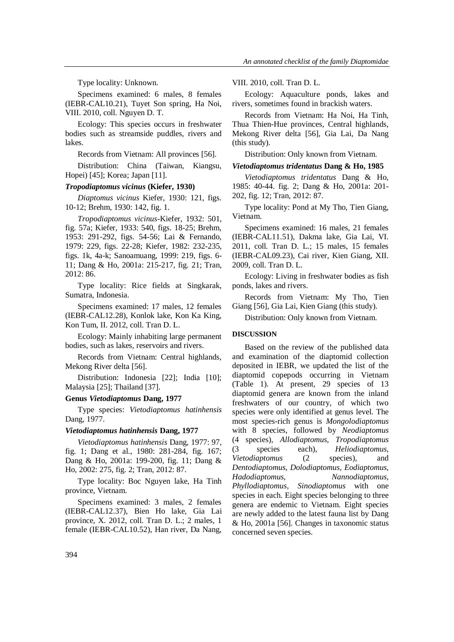Type locality: Unknown.

Specimens examined: 6 males, 8 females (IEBR-CAL10.21), Tuyet Son spring, Ha Noi, VIII. 2010, coll. Nguyen D. T.

Ecology: This species occurs in freshwater bodies such as streamside puddles, rivers and lakes.

Records from Vietnam: All provinces [56].

Distribution: China (Taiwan, Kiangsu, Hopei) [45]; Korea; Japan [11].

### *Tropodiaptomus vicinus* **(Kiefer, 1930)**

*Diaptomus vicinus* Kiefer, 1930: 121, figs. 10-12; Brehm, 1930: 142, fig. 1.

*Tropodiaptomus vicinus*-Kiefer, 1932: 501, fig. 57a; Kiefer, 1933: 540, figs. 18-25; Brehm, 1953: 291-292, figs. 54-56; Lai & Fernando, 1979: 229, figs. 22-28; Kiefer, 1982: 232-235, figs. 1k, 4a-k; Sanoamuang, 1999: 219, figs. 6- 11; Dang & Ho, 2001a: 215-217, fig. 21; Tran, 2012: 86.

Type locality: Rice fields at Singkarak, Sumatra, Indonesia.

Specimens examined: 17 males, 12 females (IEBR-CAL12.28), Konlok lake, Kon Ka King, Kon Tum, II. 2012, coll. Tran D. L.

Ecology: Mainly inhabiting large permanent bodies, such as lakes, reservoirs and rivers.

Records from Vietnam: Central highlands, Mekong River delta [56].

Distribution: Indonesia [22]; India [10]; Malaysia [25]; Thailand [37].

## **Genus** *Vietodiaptomus* **Dang, 1977**

Type species: *Vietodiaptomus hatinhensis* Dang, 1977.

### *Vietodiaptomus hatinhensis* **Dang, 1977**

*Vietodiaptomus hatinhensis* Dang, 1977: 97, fig. 1; Dang et al., 1980: 281-284, fig. 167; Dang & Ho, 2001a: 199-200, fig. 11; Dang & Ho, 2002: 275, fig. 2; Tran, 2012: 87.

Type locality: Boc Nguyen lake, Ha Tinh province, Vietnam.

Specimens examined: 3 males, 2 females (IEBR-CAL12.37), Bien Ho lake, Gia Lai province, X. 2012, coll. Tran D. L.; 2 males, 1 female (IEBR-CAL10.52), Han river, Da Nang, VIII. 2010, coll. Tran D. L.

Ecology: Aquaculture ponds, lakes and rivers, sometimes found in brackish waters.

Records from Vietnam: Ha Noi, Ha Tinh, Thua Thien-Hue provinces, Central highlands, Mekong River delta [56], Gia Lai, Da Nang (this study).

Distribution: Only known from Vietnam.

#### *Vietodiaptomus tridentatus* **Dang & Ho, 1985**

*Vietodiaptomus tridentatus* Dang & Ho, 1985: 40-44. fig. 2; Dang & Ho, 2001a: 201- 202, fig. 12; Tran, 2012: 87.

Type locality: Pond at My Tho, Tien Giang, Vietnam.

Specimens examined: 16 males, 21 females (IEBR-CAL11.51), Dakma lake, Gia Lai, VI. 2011, coll. Tran D. L.; 15 males, 15 females (IEBR-CAL09.23), Cai river, Kien Giang, XII. 2009, coll. Tran D. L.

Ecology: Living in freshwater bodies as fish ponds, lakes and rivers.

Records from Vietnam: My Tho, Tien Giang [56], Gia Lai, Kien Giang (this study).

Distribution: Only known from Vietnam.

### **DISCUSSION**

Based on the review of the published data and examination of the diaptomid collection deposited in IEBR, we updated the list of the diaptomid copepods occurring in Vietnam (Table 1). At present, 29 species of 13 diaptomid genera are known from the inland freshwaters of our country, of which two species were only identified at genus level. The most species-rich genus is *Mongolodiaptomus* with 8 species, followed by *Neodiaptomus*  (4 species), *Allodiaptomus*, *Tropodiaptomus* (3 species each), *Heliodiaptomus*, *Vietodiaptomus* (2 species), and *Dentodiaptomus*, *Dolodiaptomus*, *Eodiaptomus*, *Hadodiaptomus*, *Nannodiaptomus*, *Phyllodiaptomus*, *Sinodiaptomus* with one species in each. Eight species belonging to three genera are endemic to Vietnam. Eight species are newly added to the latest fauna list by Dang & Ho, 2001a [56]. Changes in taxonomic status concerned seven species.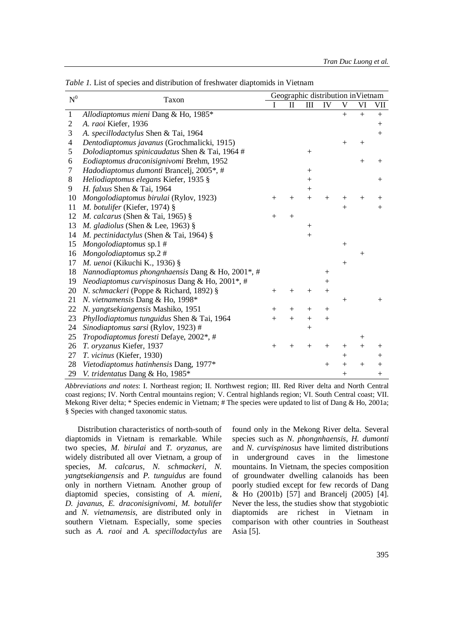| $\mbox{N}^0$   | Taxon                                            | Geographic distribution inVietnam |              |        |        |                    |        |         |
|----------------|--------------------------------------------------|-----------------------------------|--------------|--------|--------|--------------------|--------|---------|
|                |                                                  | I                                 | $\mathbf{I}$ | Ш      | IV     | V                  | VI     | VII     |
| $\mathbf{1}$   | Allodiaptomus mieni Dang & Ho, 1985*             |                                   |              |        |        | $+$                | $+$    | $^{+}$  |
| $\overline{c}$ | A. raoi Kiefer, 1936                             |                                   |              |        |        |                    |        | $^{+}$  |
| 3              | A. specillodactylus Shen & Tai, 1964             |                                   |              |        |        |                    |        | $^{+}$  |
| 4              | Dentodiaptomus javanus (Grochmalicki, 1915)      |                                   |              |        |        | $^{+}$             | $^{+}$ |         |
| 5              | Dolodiaptomus spinicaudatus Shen & Tai, 1964#    |                                   |              |        |        |                    |        |         |
| 6              | Eodiaptomus draconisignivomi Brehm, 1952         |                                   |              |        |        |                    | $+$    | $^+$    |
| 7              | Hadodiaptomus dumonti Brancelj, 2005*, #         |                                   |              | $+$    |        |                    |        |         |
| 8              | Heliodiaptomus elegans Kiefer, 1935 §            |                                   |              | $+$    |        |                    |        | $^{+}$  |
| 9              | H. falxus Shen & Tai, 1964                       |                                   |              | $^{+}$ |        |                    |        |         |
| 10             | Mongolodiaptomus birulai (Rylov, 1923)           | $^{+}$                            | $^{+}$       | $+$    | $^{+}$ | $^+$               | $^{+}$ | $^+$    |
| 11             | M. botulifer (Kiefer, 1974) §                    |                                   |              |        |        | $+$                |        | $+$     |
| 12             | M. calcarus (Shen & Tai, 1965) $§$               | $^{+}$                            | $^{+}$       |        |        |                    |        |         |
| 13             | M. gladiolus (Shen & Lee, 1963) $\S$             |                                   |              | $^{+}$ |        |                    |        |         |
| 14             | M. pectinidactylus (Shen & Tai, 1964) §          |                                   |              | $+$    |        |                    |        |         |
| 15             | Mongolodiaptomus sp.1#                           |                                   |              |        |        | $^{+}$             |        |         |
| 16             | Mongolodiaptomus sp.2#                           |                                   |              |        |        |                    | $^{+}$ |         |
| 17             | M. uenoi (Kikuchi K., 1936) §                    |                                   |              |        |        | $+$                |        |         |
| 18             | Nannodiaptomus phongnhaensis Dang & Ho, 2001*, # |                                   |              |        | $^{+}$ |                    |        |         |
| 19             | Neodiaptomus curvispinosus Dang & Ho, 2001*, #   |                                   |              |        | $^{+}$ |                    |        |         |
| 20             | N. schmackeri (Poppe & Richard, 1892) §          | $^{+}$                            | $^{+}$       | $^{+}$ | $^{+}$ |                    |        |         |
| 21             | N. vietnamensis Dang & Ho, 1998*                 |                                   |              |        |        | $+$                |        | $^{+}$  |
| 22             | N. yangtsekiangensis Mashiko, 1951               | $^{+}$                            | $+$          | $+$    | $^{+}$ |                    |        |         |
| 23             | Phyllodiaptomus tunguidus Shen & Tai, 1964       | $^{+}$                            | $+$          | $+$    | $^{+}$ |                    |        |         |
| 24             | Sinodiaptomus sarsi (Rylov, 1923) #              |                                   |              | $+$    |        |                    |        |         |
| 25             | Tropodiaptomus foresti Defaye, 2002*, #          |                                   |              |        |        |                    | $^{+}$ |         |
| 26             | T. oryzanus Kiefer, 1937                         | $^{+}$                            | $^{+}$       | $^{+}$ | $^{+}$ | $^+$               | $^{+}$ | $^+$    |
| 27             | T. vicinus (Kiefer, 1930)                        |                                   |              |        |        | $^{+}$             |        | $\,+\,$ |
| 28             | Vietodiaptomus hatinhensis Dang, 1977*           |                                   |              |        | $+$    | $\hspace{0.1mm} +$ | $^+$   | $^+$    |
| 29             | V. tridentatus Dang & Ho, 1985*                  |                                   |              |        |        | $^{+}$             |        | $^{+}$  |

*Table 1.* List of species and distribution of freshwater diaptomids in Vietnam

*Abbreviations and notes*: I. Northeast region; II. Northwest region; III. Red River delta and North Central coast regions; IV. North Central mountains region; V. Central highlands region; VI. South Central coast; VII. Mekong River delta; \* Species endemic in Vietnam; # The species were updated to list of Dang & Ho, 2001a; § Species with changed taxonomic status.

Distribution characteristics of north-south of diaptomids in Vietnam is remarkable. While two species, *M. birulai* and *T. oryzanus*, are widely distributed all over Vietnam, a group of species, *M. calcarus*, *N. schmackeri*, *N. yangtsekiangensis* and *P. tunguidus* are found only in northern Vietnam*.* Another group of diaptomid species, consisting of *A. mieni*, *D. javanus*, *E. draconisignivomi*, *M. botulifer* and *N. vietnamensis*, are distributed only in southern Vietnam. Especially, some species such as *A. raoi* and *A. specillodactylus* are

found only in the Mekong River delta*.* Several species such as *N. phongnhaensis*, *H. dumonti*  and *N. curvispinosus* have limited distributions in underground caves in the limestone mountains. In Vietnam, the species composition of groundwater dwelling calanoids has been poorly studied except for few records of Dang & Ho (2001b) [57] and Brancelj (2005) [4]. Never the less, the studies show that stygobiotic diaptomids are richest in Vietnam in comparison with other countries in Southeast Asia [5].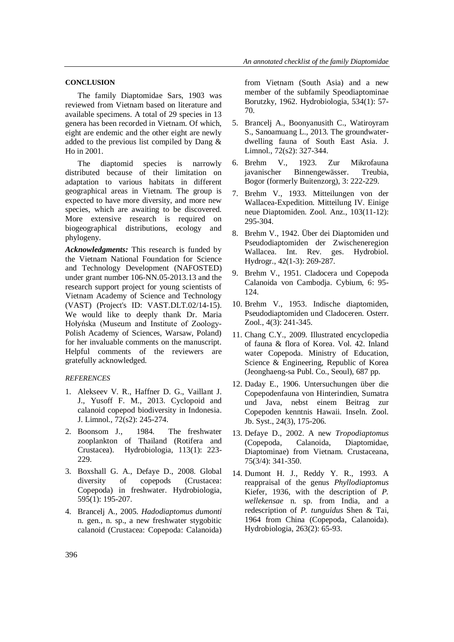## **CONCLUSION**

The family Diaptomidae Sars, 1903 was reviewed from Vietnam based on literature and available specimens. A total of 29 species in 13 genera has been recorded in Vietnam. Of which, eight are endemic and the other eight are newly added to the previous list compiled by Dang & Ho in 2001.

The diaptomid species is narrowly distributed because of their limitation on adaptation to various habitats in different geographical areas in Vietnam. The group is expected to have more diversity, and more new species, which are awaiting to be discovered. More extensive research is required on biogeographical distributions, ecology and phylogeny.

*Acknowledgments:* This research is funded by the Vietnam National Foundation for Science and Technology Development (NAFOSTED) under grant number 106-NN.05-2013.13 and the research support project for young scientists of Vietnam Academy of Science and Technology (VAST) (Project's ID: VAST.DLT.02/14-15). We would like to deeply thank Dr. Maria Hołyńska (Museum and Institute of Zoology-Polish Academy of Sciences, Warsaw, Poland) for her invaluable comments on the manuscript. Helpful comments of the reviewers are gratefully acknowledged.

## *REFERENCES*

- 1. Alekseev V. R., Haffner D. G., Vaillant J. J., Yusoff F. M., 2013. Cyclopoid and calanoid copepod biodiversity in Indonesia. J. Limnol., 72(s2): 245-274.
- 2. Boonsom J., 1984. The freshwater zooplankton of Thailand (Rotifera and Crustacea). Hydrobiologia, 113(1): 223- 229.
- 3. Boxshall G. A., Defaye D., 2008. Global diversity of copepods (Crustacea: Copepoda) in freshwater. Hydrobiologia, 595(1): 195-207.
- 4. Brancelj A., 2005. *Hadodiaptomus dumonti* n. gen., n. sp., a new freshwater stygobitic calanoid (Crustacea: Copepoda: Calanoida)

from Vietnam (South Asia) and a new member of the subfamily Speodiaptominae Borutzky, 1962. Hydrobiologia, 534(1): 57- 70.

- 5. Brancelj A., Boonyanusith C., Watiroyram S., Sanoamuang L., 2013. The groundwaterdwelling fauna of South East Asia. J. Limnol., 72(s2): 327-344.
- 6. Brehm V., 1923. Zur Mikrofauna javanischer Binnengewässer. Treubia, Bogor (formerly Buitenzorg), 3: 222-229.
- 7. Brehm V., 1933. Mitteilungen von der Wallacea-Expedition. Mitteilung IV. Einige neue Diaptomiden. Zool. Anz., 103(11-12): 295-304.
- 8. Brehm V., 1942. Über dei Diaptomiden und Pseudodiaptomiden der Zwischeneregion Wallacea. Int. Rev. ges. Hydrobiol. Hydrogr., 42(1-3): 269-287.
- 9. Brehm V., 1951. Cladocera und Copepoda Calanoida von Cambodja. Cybium, 6: 95- 124.
- 10. Brehm V., 1953. Indische diaptomiden, Pseudodiaptomiden und Cladoceren. Osterr. Zool., 4(3): 241-345.
- 11. Chang C.Y., 2009. Illustrated encyclopedia of fauna & flora of Korea. Vol. 42. Inland water Copepoda. Ministry of Education, Science & Engineering, Republic of Korea (Jeonghaeng-sa Publ. Co., Seoul), 687 pp.
- 12. Daday E., 1906. Untersuchungen über die Copepodenfauna von Hinterindien, Sumatra und Java, nebst einem Beitrag zur Copepoden kenntnis Hawaii. Inseln. Zool. Jb. Syst., 24(3), 175-206.
- 13. Defaye D., 2002. A new *Tropodiaptomus* (Copepoda, Calanoida, Diaptomidae, Diaptominae) from Vietnam. Crustaceana, 75(3/4): 341-350.
- 14. Dumont H. J., Reddy Y. R., 1993. A reappraisal of the genus *Phyllodiaptomus* Kiefer, 1936, with the description of *P. wellekensae* n. sp. from India, and a redescription of *P. tunguidus* Shen & Tai, 1964 from China (Copepoda, Calanoida). Hydrobiologia, 263(2): 65-93.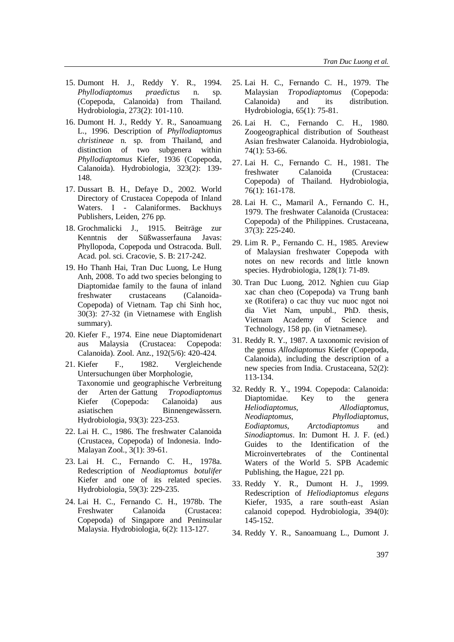- 15. Dumont H. J., Reddy Y. R., 1994. *Phyllodiaptomus praedictus* n. sp. (Copepoda, Calanoida) from Thailand. Hydrobiologia, 273(2): 101-110.
- 16. Dumont H. J., Reddy Y. R., Sanoamuang L., 1996. Description of *Phyllodiaptomus christineae* n. sp. from Thailand, and distinction of two subgenera within *Phyllodiaptomus* Kiefer, 1936 (Copepoda, Calanoida). Hydrobiologia, 323(2): 139- 148.
- 17. Dussart B. H., Defaye D., 2002. World Directory of Crustacea Copepoda of Inland Waters. I - Calaniformes. Backhuys Publishers, Leiden, 276 pp.
- 18. Grochmalicki J., 1915. Beiträge zur Kenntnis der Süßwasserfauna Javas: Phyllopoda, Copepoda und Ostracoda. Bull. Acad. pol. sci. Cracovie, S. B: 217-242.
- 19. Ho Thanh Hai, Tran Duc Luong, Le Hung Anh, 2008. To add two species belonging to Diaptomidae family to the fauna of inland freshwater crustaceans (Calanoida-Copepoda) of Vietnam. Tap chi Sinh hoc, 30(3): 27-32 (in Vietnamese with English summary).
- 20. Kiefer F., 1974. Eine neue Diaptomidenart aus Malaysia (Crustacea: Copepoda: Calanoida). Zool. Anz., 192(5/6): 420-424.
- 21. Kiefer F., 1982. Vergleichende Untersuchungen über Morphologie, Taxonomie und geographische Verbreitung der Arten der Gattung *Tropodiaptomus* Kiefer (Copepoda: Calanoida) aus asiatischen Binnengewässern. Hydrobiologia, 93(3): 223-253.
- 22. Lai H. C., 1986. The freshwater Calanoida (Crustacea, Copepoda) of Indonesia. Indo-Malayan Zool., 3(1): 39-61.
- 23. Lai H. C., Fernando C. H., 1978a. Redescription of *Neodiaptomus botulifer* Kiefer and one of its related species. Hydrobiologia, 59(3): 229-235.
- 24. Lai H. C., Fernando C. H., 1978b. The Freshwater Calanoida (Crustacea: Copepoda) of Singapore and Peninsular Malaysia. Hydrobiologia, 6(2): 113-127.
- 25. Lai H. C., Fernando C. H., 1979. The Malaysian *Tropodiaptomus* (Copepoda: Calanoida) and its distribution. Hydrobiologia, 65(1): 75-81.
- 26. Lai H. C., Fernando C. H., 1980. Zoogeographical distribution of Southeast Asian freshwater Calanoida. Hydrobiologia, 74(1): 53-66.
- 27. Lai H. C., Fernando C. H., 1981. The freshwater Calanoida (Crustacea: Copepoda) of Thailand. Hydrobiologia, 76(1): 161-178.
- 28. Lai H. C., Mamaril A., Fernando C. H., 1979. The freshwater Calanoida (Crustacea: Copepoda) of the Philippines. Crustaceana, 37(3): 225-240.
- 29. Lim R. P., Fernando C. H., 1985. Areview of Malaysian freshwater Copepoda with notes on new records and little known species. Hydrobiologia, 128(1): 71-89.
- 30. Tran Duc Luong, 2012. Nghien cuu Giap xac chan cheo (Copepoda) va Trung banh xe (Rotifera) o cac thuy vuc nuoc ngot noi dia Viet Nam, unpubl., PhD. thesis, Vietnam Academy of Science and Technology, 158 pp. (in Vietnamese).
- 31. Reddy R. Y., 1987. A taxonomic revision of the genus *Allodiaptomus* Kiefer (Copepoda, Calanoida), including the description of a new species from India. Crustaceana, 52(2): 113-134.
- 32. Reddy R. Y., 1994. Copepoda: Calanoida: Diaptomidae. Key to the genera *Heliodiaptomus*, *Allodiaptomus*, *Neodiaptomus*, *Phyllodiaptomus*, *Eodiaptomus*, *Arctodiaptomus* and *Sinodiaptomus*. In: Dumont H. J. F. (ed.) Guides to the Identification of the Microinvertebrates of the Continental Waters of the World 5. SPB Academic Publishing, the Hague, 221 pp.
- 33. Reddy Y. R., Dumont H. J., 1999. Redescription of *Heliodiaptomus elegans*  Kiefer, 1935, a rare south-east Asian calanoid copepod. Hydrobiologia, 394(0): 145-152.
- 34. Reddy Y. R., Sanoamuang L., Dumont J.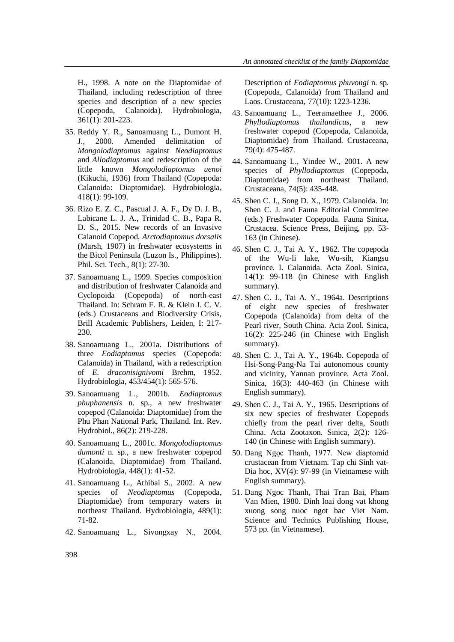H., 1998. A note on the Diaptomidae of Thailand, including redescription of three species and description of a new species (Copepoda, Calanoida). Hydrobiologia, 361(1): 201-223.

- 35. Reddy Y. R., Sanoamuang L., Dumont H. J., 2000. Amended delimitation of *Mongolodiaptomus* against *Neodiaptomus*  and *Allodiaptomus* and redescription of the little known *Mongolodiaptomus uenoi*  (Kikuchi, 1936) from Thailand (Copepoda: Calanoida: Diaptomidae). Hydrobiologia, 418(1): 99-109.
- 36. Rizo E. Z. C., Pascual J. A. F., Dy D. J. B., Labicane L. J. A., Trinidad C. B., Papa R. D. S., 2015. New records of an Invasive Calanoid Copepod, *Arctodiaptomus dorsalis* (Marsh, 1907) in freshwater ecosystems in the Bicol Peninsula (Luzon Is., Philippines). Phil. Sci. Tech., 8(1): 27-30.
- 37. Sanoamuang L., 1999. Species composition and distribution of freshwater Calanoida and Cyclopoida (Copepoda) of north-east Thailand. In: Schram F. R. & Klein J. C. V. (eds.) Crustaceans and Biodiversity Crisis, Brill Academic Publishers, Leiden, I: 217- 230.
- 38. Sanoamuang L., 2001a. Distributions of three *Eodiaptomus* species (Copepoda: Calanoida) in Thailand, with a redescription of *E. draconisignivomi* Brehm, 1952. Hydrobiologia, 453/454(1): 565-576.
- 39. Sanoamuang L., 2001b. *Eodiaptomus phuphanensis* n. sp., a new freshwater copepod (Calanoida: Diaptomidae) from the Phu Phan National Park, Thailand. Int. Rev. Hydrobiol., 86(2): 219-228.
- 40. Sanoamuang L., 2001c. *Mongolodiaptomus dumonti* n. sp., a new freshwater copepod (Calanoida, Diaptomidae) from Thailand. Hydrobiologia, 448(1): 41-52.
- 41. Sanoamuang L., Athibai S., 2002. A new species of *Neodiaptomus* (Copepoda, Diaptomidae) from temporary waters in northeast Thailand. Hydrobiologia, 489(1): 71-82.
- 42. Sanoamuang L., Sivongxay N., 2004.

Description of *Eodiaptomus phuvongi* n. sp. (Copepoda, Calanoida) from Thailand and Laos. Crustaceana, 77(10): 1223-1236.

- 43. Sanoamuang L., Teeramaethee J., 2006. *Phyllodiaptomus thailandicus*, a new freshwater copepod (Copepoda, Calanoida, Diaptomidae) from Thailand. Crustaceana, 79(4): 475-487.
- 44. Sanoamuang L., Yindee W., 2001. A new species of *Phyllodiaptomus* (Copepoda, Diaptomidae) from northeast Thailand. Crustaceana, 74(5): 435-448.
- 45. Shen C. J., Song D. X., 1979. Calanoida. In: Shen C. J. and Fauna Editorial Committee (eds.) Freshwater Copepoda. Fauna Sinica, Crustacea. Science Press, Beijing, pp. 53- 163 (in Chinese).
- 46. Shen C. J., Tai A. Y., 1962. The copepoda of the Wu-li lake, Wu-sih, Kiangsu province. I. Calanoida. Acta Zool. Sinica, 14(1): 99-118 (in Chinese with English summary).
- 47. Shen C. J., Tai A. Y., 1964a. Descriptions of eight new species of freshwater Copepoda (Calanoida) from delta of the Pearl river, South China. Acta Zool. Sinica, 16(2): 225-246 (in Chinese with English summary).
- 48. Shen C. J., Tai A. Y., 1964b. Copepoda of Hsi-Song-Pang-Na Tai autonomous county and vicinity, Yannan province. Acta Zool. Sinica, 16(3): 440-463 (in Chinese with English summary).
- 49. Shen C. J., Tai A. Y., 1965. Descriptions of six new species of freshwater Copepods chiefly from the pearl river delta, South China. Acta Zootaxon. Sinica, 2(2): 126- 140 (in Chinese with English summary).
- 50. Dang Ngọc Thanh, 1977. New diaptomid crustacean from Vietnam. Tap chi Sinh vat-Dia hoc, XV(4): 97-99 (in Vietnamese with English summary).
- 51. Dang Ngoc Thanh, Thai Tran Bai, Pham Van Mien, 1980. Dinh loai dong vat khong xuong song nuoc ngot bac Viet Nam. Science and Technics Publishing House, 573 pp. (in Vietnamese).